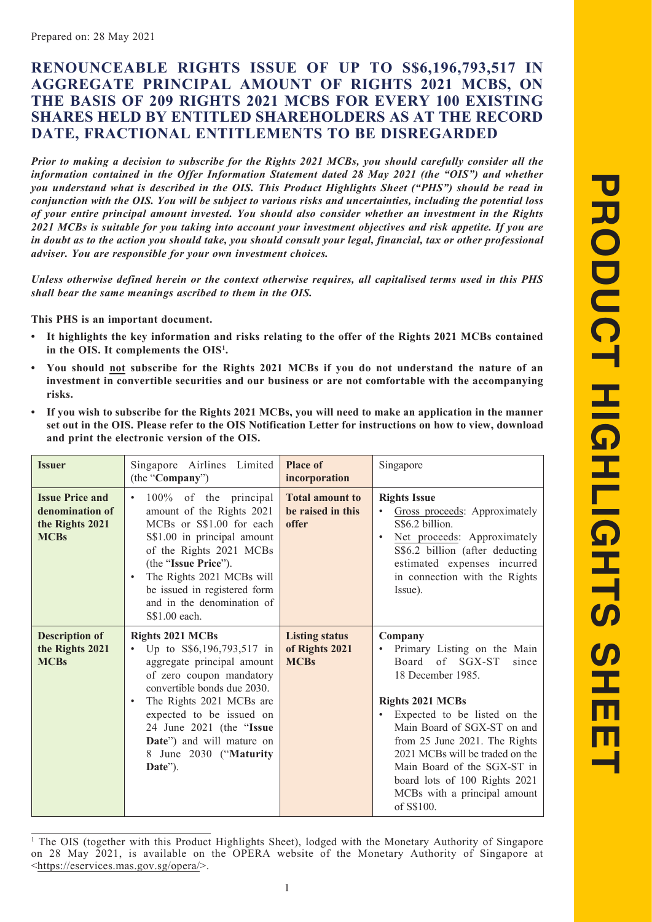# **RENOUNCEABLE RIGHTS ISSUE OF UP TO S\$6,196,793,517 IN AGGREGATE PRINCIPAL AMOUNT OF RIGHTS 2021 MCBS, ON THE BASIS OF 209 RIGHTS 2021 MCBS FOR EVERY 100 EXISTING SHARES HELD BY ENTITLED SHAREHOLDERS AS AT THE RECORD DATE, FRACTIONAL ENTITLEMENTS TO BE DISREGARDED**

*Prior to making a decision to subscribe for the Rights 2021 MCBs, you should carefully consider all the information contained in the Offer Information Statement dated 28 May 2021 (the "OIS") and whether you understand what is described in the OIS. This Product Highlights Sheet ("PHS") should be read in conjunction with the OIS. You will be subject to various risks and uncertainties, including the potential loss of your entire principal amount invested. You should also consider whether an investment in the Rights 2021 MCBs is suitable for you taking into account your investment objectives and risk appetite. If you are in doubt as to the action you should take, you should consult your legal, financial, tax or other professional adviser. You are responsible for your own investment choices.*

*Unless otherwise defined herein or the context otherwise requires, all capitalised terms used in this PHS shall bear the same meanings ascribed to them in the OIS.*

**This PHS is an important document.**

- **• It highlights the key information and risks relating to the offer of the Rights 2021 MCBs contained in the OIS. It complements the OIS1 .**
- **• You should not subscribe for the Rights 2021 MCBs if you do not understand the nature of an investment in convertible securities and our business or are not comfortable with the accompanying risks.**
- **• If you wish to subscribe for the Rights 2021 MCBs, you will need to make an application in the manner set out in the OIS. Please refer to the OIS Notification Letter for instructions on how to view, download and print the electronic version of the OIS.**

| <b>Issuer</b>                                                               | Singapore Airlines Limited<br>(the "Company")                                                                                                                                                                                                                                                                    | <b>Place of</b><br>incorporation                       | Singapore                                                                                                                                                                                                                                                                                                                                                           |
|-----------------------------------------------------------------------------|------------------------------------------------------------------------------------------------------------------------------------------------------------------------------------------------------------------------------------------------------------------------------------------------------------------|--------------------------------------------------------|---------------------------------------------------------------------------------------------------------------------------------------------------------------------------------------------------------------------------------------------------------------------------------------------------------------------------------------------------------------------|
| <b>Issue Price and</b><br>denomination of<br>the Rights 2021<br><b>MCBs</b> | 100% of the principal<br>amount of the Rights 2021<br>MCBs or S\$1.00 for each<br>S\$1.00 in principal amount<br>of the Rights 2021 MCBs<br>(the "Issue Price").<br>The Rights 2021 MCBs will<br>be issued in registered form<br>and in the denomination of<br>S\$1.00 each.                                     | <b>Total amount to</b><br>be raised in this<br>offer   | <b>Rights Issue</b><br>Gross proceeds: Approximately<br>S\$6.2 billion.<br>Net proceeds: Approximately<br>S\$6.2 billion (after deducting<br>estimated expenses incurred<br>in connection with the Rights<br>Issue).                                                                                                                                                |
| <b>Description of</b><br>the Rights 2021<br><b>MCBs</b>                     | <b>Rights 2021 MCBs</b><br>Up to S\$6,196,793,517 in<br>$\bullet$<br>aggregate principal amount<br>of zero coupon mandatory<br>convertible bonds due 2030.<br>The Rights 2021 MCBs are<br>expected to be issued on<br>24 June 2021 (the "Issue<br>Date") and will mature on<br>8 June 2030 ("Maturity<br>Date"). | <b>Listing status</b><br>of Rights 2021<br><b>MCBs</b> | Company<br>Primary Listing on the Main<br>Board of SGX-ST<br>since<br>18 December 1985.<br><b>Rights 2021 MCBs</b><br>Expected to be listed on the<br>Main Board of SGX-ST on and<br>from 25 June 2021. The Rights<br>2021 MCBs will be traded on the<br>Main Board of the SGX-ST in<br>board lots of 100 Rights 2021<br>MCBs with a principal amount<br>of S\$100. |

<sup>&</sup>lt;sup>1</sup> The OIS (together with this Product Highlights Sheet), lodged with the Monetary Authority of Singapore on 28 May 2021, is available on the OPERA website of the Monetary Authority of Singapore at <https://eservices.mas.gov.sg/opera/>.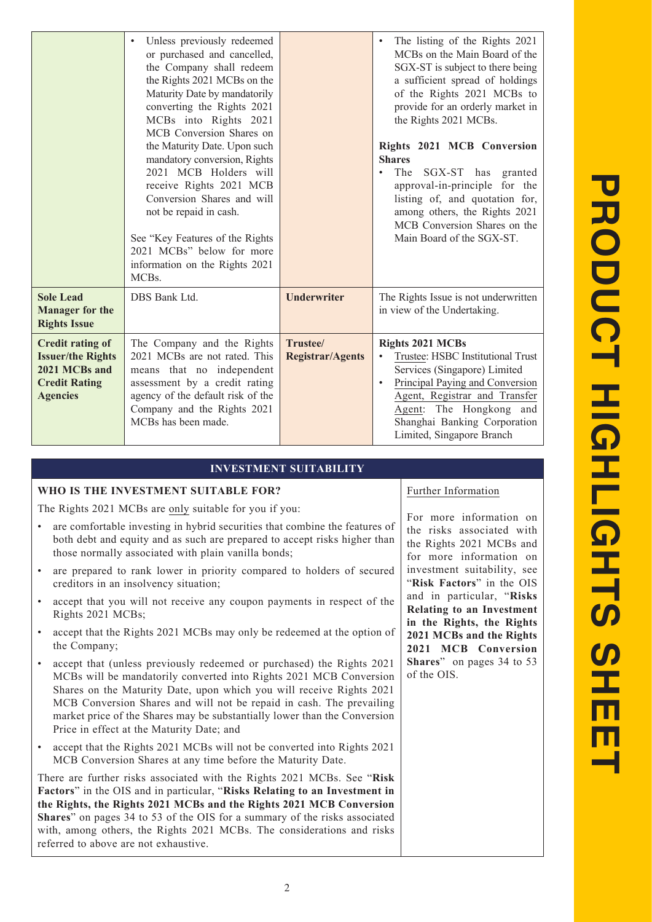|                                                                                                          | Unless previously redeemed<br>or purchased and cancelled,<br>the Company shall redeem<br>the Rights 2021 MCBs on the<br>Maturity Date by mandatorily<br>converting the Rights 2021<br>MCBs into Rights 2021<br>MCB Conversion Shares on<br>the Maturity Date. Upon such<br>mandatory conversion, Rights<br>2021 MCB Holders will<br>receive Rights 2021 MCB<br>Conversion Shares and will<br>not be repaid in cash.<br>See "Key Features of the Rights"<br>2021 MCBs" below for more<br>information on the Rights 2021<br>MCBs. |                                     | The listing of the Rights 2021<br>MCBs on the Main Board of the<br>SGX-ST is subject to there being<br>a sufficient spread of holdings<br>of the Rights 2021 MCBs to<br>provide for an orderly market in<br>the Rights 2021 MCBs.<br>Rights 2021 MCB Conversion<br><b>Shares</b><br>The<br>SGX-ST has granted<br>approval-in-principle for the<br>listing of, and quotation for,<br>among others, the Rights 2021<br>MCB Conversion Shares on the<br>Main Board of the SGX-ST. |
|----------------------------------------------------------------------------------------------------------|---------------------------------------------------------------------------------------------------------------------------------------------------------------------------------------------------------------------------------------------------------------------------------------------------------------------------------------------------------------------------------------------------------------------------------------------------------------------------------------------------------------------------------|-------------------------------------|--------------------------------------------------------------------------------------------------------------------------------------------------------------------------------------------------------------------------------------------------------------------------------------------------------------------------------------------------------------------------------------------------------------------------------------------------------------------------------|
| <b>Sole Lead</b><br><b>Manager for the</b><br><b>Rights Issue</b>                                        | DBS Bank Ltd.                                                                                                                                                                                                                                                                                                                                                                                                                                                                                                                   | <b>Underwriter</b>                  | The Rights Issue is not underwritten<br>in view of the Undertaking.                                                                                                                                                                                                                                                                                                                                                                                                            |
| Credit rating of<br><b>Issuer/the Rights</b><br>2021 MCBs and<br><b>Credit Rating</b><br><b>Agencies</b> | The Company and the Rights<br>2021 MCBs are not rated. This<br>means that no independent<br>assessment by a credit rating<br>agency of the default risk of the<br>Company and the Rights 2021<br>MCBs has been made.                                                                                                                                                                                                                                                                                                            | Trustee/<br><b>Registrar/Agents</b> | <b>Rights 2021 MCBs</b><br>Trustee: HSBC Institutional Trust<br>Services (Singapore) Limited<br>Principal Paying and Conversion<br>Agent, Registrar and Transfer<br>Agent: The Hongkong and<br>Shanghai Banking Corporation<br>Limited, Singapore Branch                                                                                                                                                                                                                       |

# **INVESTMENT SUITABILITY**

# **WHO IS THE INVESTMENT SUITABLE FOR?**

The Rights 2021 MCBs are only suitable for you if you:

- are comfortable investing in hybrid securities that combine the features of both debt and equity and as such are prepared to accept risks higher than those normally associated with plain vanilla bonds;
- are prepared to rank lower in priority compared to holders of secured creditors in an insolvency situation;
- accept that you will not receive any coupon payments in respect of the Rights 2021 MCBs;
- accept that the Rights 2021 MCBs may only be redeemed at the option of the Company;
- accept that (unless previously redeemed or purchased) the Rights 2021 MCBs will be mandatorily converted into Rights 2021 MCB Conversion Shares on the Maturity Date, upon which you will receive Rights 2021 MCB Conversion Shares and will not be repaid in cash. The prevailing market price of the Shares may be substantially lower than the Conversion Price in effect at the Maturity Date; and
- accept that the Rights 2021 MCBs will not be converted into Rights 2021 MCB Conversion Shares at any time before the Maturity Date.

There are further risks associated with the Rights 2021 MCBs. See "**Risk Factors**" in the OIS and in particular, "**Risks Relating to an Investment in the Rights, the Rights 2021 MCBs and the Rights 2021 MCB Conversion Shares**" on pages 34 to 53 of the OIS for a summary of the risks associated with, among others, the Rights 2021 MCBs. The considerations and risks referred to above are not exhaustive.

Further Information

For more information on the risks associated with the Rights 2021 MCBs and for more information on investment suitability, see "**Risk Factors**" in the OIS and in particular, "**Risks Relating to an Investment in the Rights, the Rights 2021 MCBs and the Rights 2021 MCB Conversion Shares**" on pages 34 to 53 of the OIS.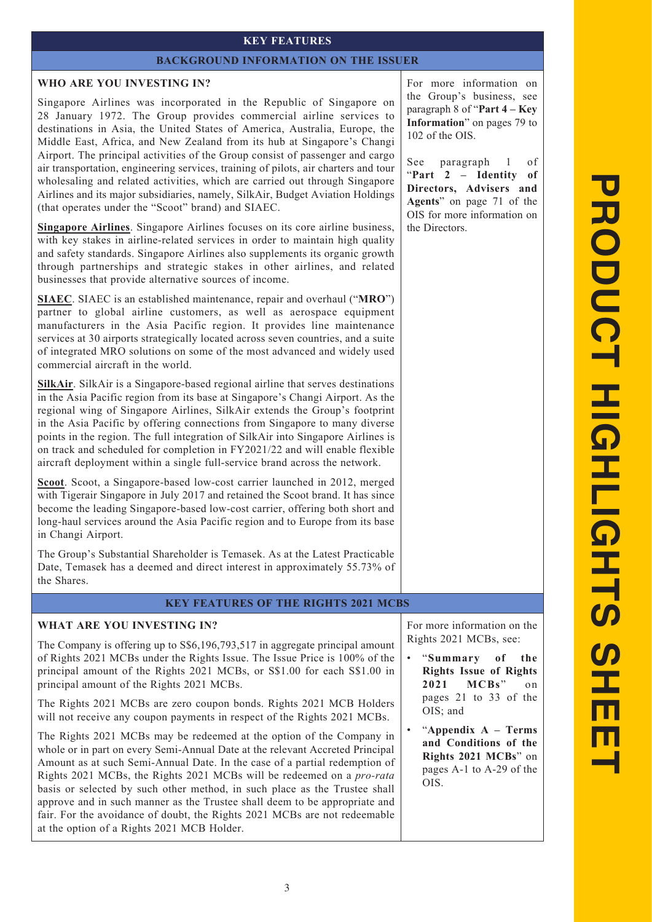# **KEY FEATURES**

#### **BACKGROUND INFORMATION ON THE ISSUER**

#### **WHO ARE YOU INVESTING IN?**

Singapore Airlines was incorporated in the Republic of Singapore on 28 January 1972. The Group provides commercial airline services to destinations in Asia, the United States of America, Australia, Europe, the Middle East, Africa, and New Zealand from its hub at Singapore's Changi Airport. The principal activities of the Group consist of passenger and cargo air transportation, engineering services, training of pilots, air charters and tour wholesaling and related activities, which are carried out through Singapore Airlines and its major subsidiaries, namely, SilkAir, Budget Aviation Holdings (that operates under the "Scoot" brand) and SIAEC.

**Singapore Airlines**. Singapore Airlines focuses on its core airline business, with key stakes in airline-related services in order to maintain high quality and safety standards. Singapore Airlines also supplements its organic growth through partnerships and strategic stakes in other airlines, and related businesses that provide alternative sources of income.

**SIAEC**. SIAEC is an established maintenance, repair and overhaul ("**MRO**") partner to global airline customers, as well as aerospace equipment manufacturers in the Asia Pacific region. It provides line maintenance services at 30 airports strategically located across seven countries, and a suite of integrated MRO solutions on some of the most advanced and widely used commercial aircraft in the world.

**SilkAir**. SilkAir is a Singapore-based regional airline that serves destinations in the Asia Pacific region from its base at Singapore's Changi Airport. As the regional wing of Singapore Airlines, SilkAir extends the Group's footprint in the Asia Pacific by offering connections from Singapore to many diverse points in the region. The full integration of SilkAir into Singapore Airlines is on track and scheduled for completion in FY2021/22 and will enable flexible aircraft deployment within a single full-service brand across the network.

**Scoot**. Scoot, a Singapore-based low-cost carrier launched in 2012, merged with Tigerair Singapore in July 2017 and retained the Scoot brand. It has since become the leading Singapore-based low-cost carrier, offering both short and long-haul services around the Asia Pacific region and to Europe from its base in Changi Airport.

The Group's Substantial Shareholder is Temasek. As at the Latest Practicable Date, Temasek has a deemed and direct interest in approximately 55.73% of the Shares.

# **KEY FEATURES OF THE RIGHTS 2021 MCBS**

# **WHAT ARE YOU INVESTING IN?**

The Company is offering up to S\$6,196,793,517 in aggregate principal amount of Rights 2021 MCBs under the Rights Issue. The Issue Price is 100% of the principal amount of the Rights 2021 MCBs, or S\$1.00 for each S\$1.00 in principal amount of the Rights 2021 MCBs.

The Rights 2021 MCBs are zero coupon bonds. Rights 2021 MCB Holders will not receive any coupon payments in respect of the Rights 2021 MCBs.

The Rights 2021 MCBs may be redeemed at the option of the Company in whole or in part on every Semi-Annual Date at the relevant Accreted Principal Amount as at such Semi-Annual Date. In the case of a partial redemption of Rights 2021 MCBs, the Rights 2021 MCBs will be redeemed on a *pro-rata*  basis or selected by such other method, in such place as the Trustee shall approve and in such manner as the Trustee shall deem to be appropriate and fair. For the avoidance of doubt, the Rights 2021 MCBs are not redeemable at the option of a Rights 2021 MCB Holder.

For more information on the Group's business, see paragraph 8 of "**Part 4 – Key Information**" on pages 79 to 102 of the OIS.

See paragraph 1 of "**Part 2 – Identity of Directors, Advisers and Agents**" on page 71 of the OIS for more information on the Directors.

For more information on the Rights 2021 MCBs, see:

• "**Summary of the Rights Issue of Rights 2021 MCBs**" on pages 21 to 33 of the OIS; and

• "**Appendix A – Terms and Conditions of the Rights 2021 MCBs**" on pages A-1 to A-29 of the OIS.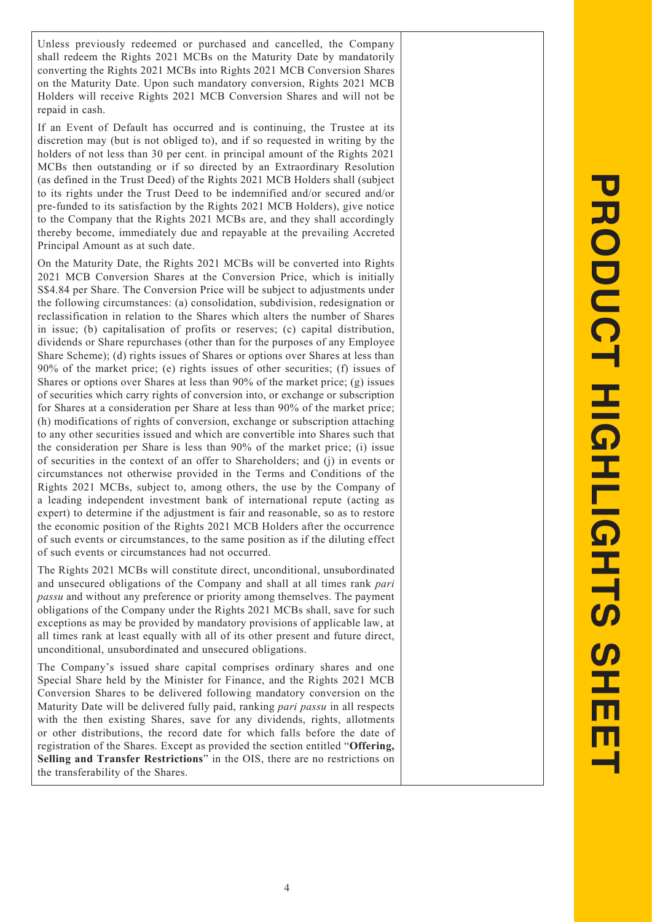Unless previously redeemed or purchased and cancelled, the Company shall redeem the Rights 2021 MCBs on the Maturity Date by mandatorily converting the Rights 2021 MCBs into Rights 2021 MCB Conversion Shares on the Maturity Date. Upon such mandatory conversion, Rights 2021 MCB Holders will receive Rights 2021 MCB Conversion Shares and will not be repaid in cash.

If an Event of Default has occurred and is continuing, the Trustee at its discretion may (but is not obliged to), and if so requested in writing by the holders of not less than 30 per cent. in principal amount of the Rights 2021 MCBs then outstanding or if so directed by an Extraordinary Resolution (as defined in the Trust Deed) of the Rights 2021 MCB Holders shall (subject to its rights under the Trust Deed to be indemnified and/or secured and/or pre-funded to its satisfaction by the Rights 2021 MCB Holders), give notice to the Company that the Rights 2021 MCBs are, and they shall accordingly thereby become, immediately due and repayable at the prevailing Accreted Principal Amount as at such date.

On the Maturity Date, the Rights 2021 MCBs will be converted into Rights 2021 MCB Conversion Shares at the Conversion Price, which is initially S\$4.84 per Share. The Conversion Price will be subject to adjustments under the following circumstances: (a) consolidation, subdivision, redesignation or reclassification in relation to the Shares which alters the number of Shares in issue; (b) capitalisation of profits or reserves; (c) capital distribution, dividends or Share repurchases (other than for the purposes of any Employee Share Scheme); (d) rights issues of Shares or options over Shares at less than 90% of the market price; (e) rights issues of other securities; (f) issues of Shares or options over Shares at less than 90% of the market price; (g) issues of securities which carry rights of conversion into, or exchange or subscription for Shares at a consideration per Share at less than 90% of the market price; (h) modifications of rights of conversion, exchange or subscription attaching to any other securities issued and which are convertible into Shares such that the consideration per Share is less than 90% of the market price; (i) issue of securities in the context of an offer to Shareholders; and (j) in events or circumstances not otherwise provided in the Terms and Conditions of the Rights 2021 MCBs, subject to, among others, the use by the Company of a leading independent investment bank of international repute (acting as expert) to determine if the adjustment is fair and reasonable, so as to restore the economic position of the Rights 2021 MCB Holders after the occurrence of such events or circumstances, to the same position as if the diluting effect of such events or circumstances had not occurred.

The Rights 2021 MCBs will constitute direct, unconditional, unsubordinated and unsecured obligations of the Company and shall at all times rank *pari passu* and without any preference or priority among themselves. The payment obligations of the Company under the Rights 2021 MCBs shall, save for such exceptions as may be provided by mandatory provisions of applicable law, at all times rank at least equally with all of its other present and future direct, unconditional, unsubordinated and unsecured obligations.

The Company's issued share capital comprises ordinary shares and one Special Share held by the Minister for Finance, and the Rights 2021 MCB Conversion Shares to be delivered following mandatory conversion on the Maturity Date will be delivered fully paid, ranking *pari passu* in all respects with the then existing Shares, save for any dividends, rights, allotments or other distributions, the record date for which falls before the date of registration of the Shares. Except as provided the section entitled "**Offering,**  Selling and Transfer Restrictions" in the OIS, there are no restrictions on the transferability of the Shares.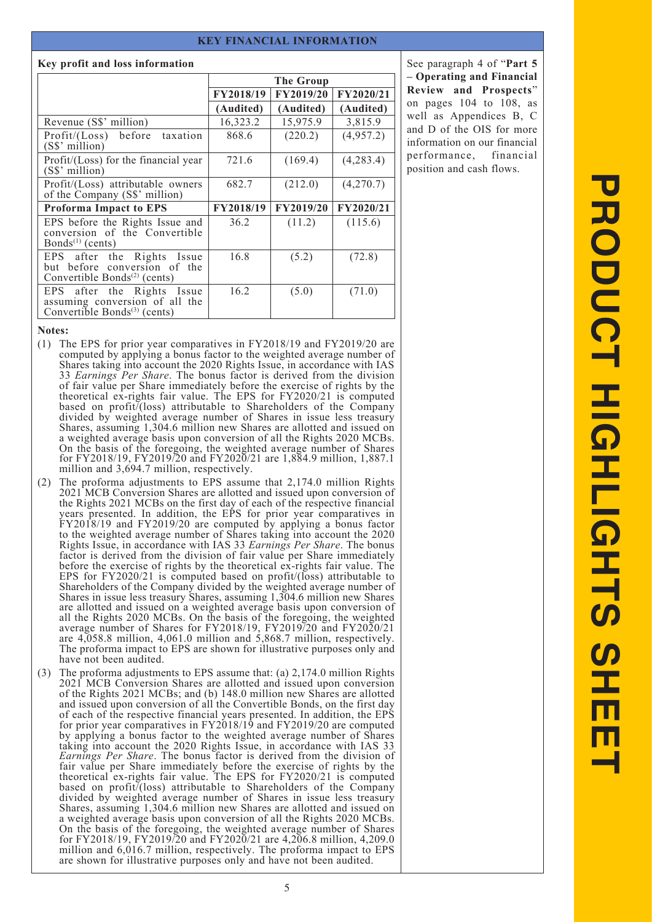#### **KEY FINANCIAL INFORMATION**

#### **Key profit and loss information**

|                                                                                                          | <b>The Group</b> |           |           |
|----------------------------------------------------------------------------------------------------------|------------------|-----------|-----------|
|                                                                                                          | FY2018/19        | FY2019/20 | FY2020/21 |
|                                                                                                          | (Audited)        | (Audited) | (Audited) |
| Revenue (S\$' million)                                                                                   | 16,323.2         | 15,975.9  | 3,815.9   |
| Profit/(Loss) before taxation<br>(S\$' million)                                                          | 868.6            | (220.2)   | (4,957.2) |
| Profit/(Loss) for the financial year<br>$(S\$ <sup>2</sup> million)                                      | 721.6            | (169.4)   | (4,283.4) |
| Profit/(Loss) attributable owners<br>of the Company (S\$' million)                                       | 682.7            | (212.0)   | (4,270.7) |
| <b>Proforma Impact to EPS</b>                                                                            | FY2018/19        | FY2019/20 | FY2020/21 |
| EPS before the Rights Issue and<br>conversion of the Convertible<br>Bonds <sup>(1)</sup> (cents)         | 36.2             | (11.2)    | (115.6)   |
| EPS after the Rights Issue<br>but before conversion of the<br>Convertible Bonds <sup>(2)</sup> (cents)   | 16.8             | (5.2)     | (72.8)    |
| EPS after the Rights Issue<br>assuming conversion of all the<br>Convertible Bonds <sup>(3)</sup> (cents) | 16.2             | (5.0)     | (71.0)    |

See paragraph 4 of "**Part 5 – Operating and Financial Review and Prospects**" on pages 104 to 108, as well as Appendices B, C and D of the OIS for more information on our financial performance, financial position and cash flows.

#### **Notes:**

- (1) The EPS for prior year comparatives in FY2018/19 and FY2019/20 are computed by applying a bonus factor to the weighted average number of Shares taking into account the 2020 Rights Issue, in accordance with IAS 33 *Earnings Per Share*. The bonus factor is derived from the division of fair value per Share immediately before the exercise of rights by the theoretical ex-rights fair value. The EPS for FY2020/21 is computed based on profit/(loss) attributable to Shareholders of the Company divided by weighted average number of Shares in issue less treasury Shares, assuming 1,304.6 million new Shares are allotted and issued on a weighted average basis upon conversion of all the Rights 2020 MCBs. On the basis of the foregoing, the weighted average number of Shares for FY2018/19, FY2019/20 and FY2020/21 are 1,884.9 million, 1,887.1 million and 3,694.7 million, respectively.
- (2) The proforma adjustments to EPS assume that 2,174.0 million Rights 2021 MCB Conversion Shares are allotted and issued upon conversion of the Rights 2021 MCBs on the first day of each of the respective financial years presented. In addition, the EPS for prior year comparatives in FY2018/19 and FY2019/20 are computed by applying a bonus factor to the weighted average number of Shares taking into account the 2020 Rights Issue, in accordance with IAS 33 *Earnings Per Share*. The bonus factor is derived from the division of fair value per Share immediately before the exercise of rights by the theoretical ex-rights fair value. The EPS for FY2020/21 is computed based on profit/(loss) attributable to Shareholders of the Company divided by the weighted average number of Shares in issue less treasury Shares, assuming 1,304.6 million new Shares are allotted and issued on a weighted average basis upon conversion of all the Rights 2020 MCBs. On the basis of the foregoing, the weighted average number of Shares for FY2018/19, FY2019/20 and FY2020/21 are  $4,058.8$  million,  $4,061.0$  million and  $5,868.7$  million, respectively. The proforma impact to EPS are shown for illustrative purposes only and have not been audited.
- (3) The proforma adjustments to EPS assume that: (a) 2,174.0 million Rights 2021 MCB Conversion Shares are allotted and issued upon conversion of the Rights 2021 MCBs; and (b) 148.0 million new Shares are allotted and issued upon conversion of all the Convertible Bonds, on the first day of each of the respective financial years presented. In addition, the EPS for prior year comparatives in FY2018/19 and FY2019/20 are computed by applying a bonus factor to the weighted average number of Shares taking into account the 2020 Rights Issue, in accordance with IAS 33 *Earnings Per Share*. The bonus factor is derived from the division of fair value per Share immediately before the exercise of rights by the theoretical ex-rights fair value. The EPS for FY2020/21 is computed based on profit<sup>7</sup>(loss) attributable to Shareholders of the Company divided by weighted average number of Shares in issue less treasury Shares, assuming 1,304.6 million new Shares are allotted and issued on a weighted average basis upon conversion of all the Rights 2020 MCBs. On the basis of the foregoing, the weighted average number of Shares for FY2018/19, FY2019/20 and FY2020/21 are 4,206.8 million, 4,209.0 million and 6,016.7 million, respectively. The proforma impact to EPS are shown for illustrative purposes only and have not been audited.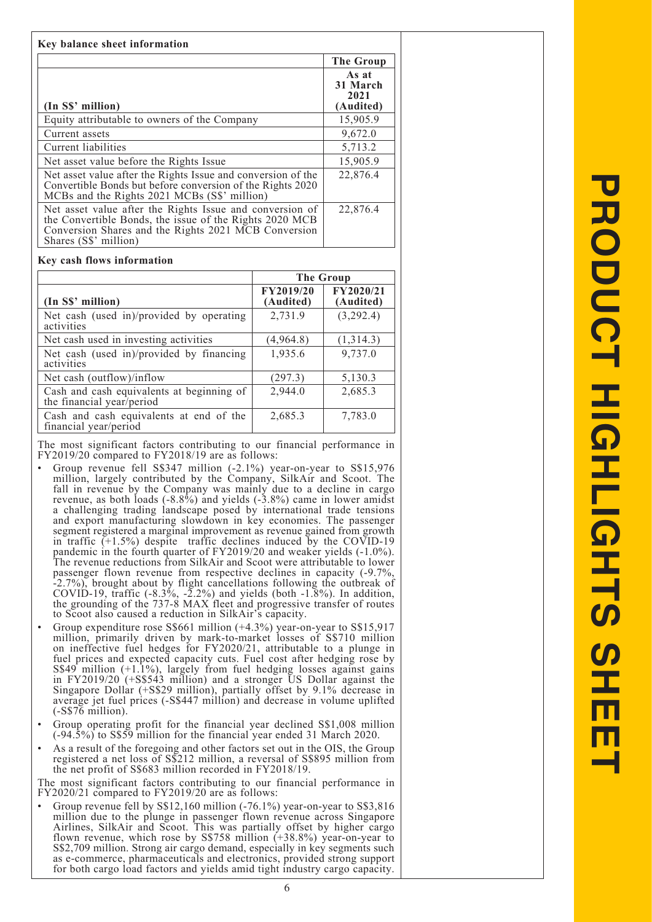|                                                                                                                                                                                                      | <b>The Group</b>                       |
|------------------------------------------------------------------------------------------------------------------------------------------------------------------------------------------------------|----------------------------------------|
| (In S\$' million)                                                                                                                                                                                    | As at<br>31 March<br>2021<br>(Audited) |
| Equity attributable to owners of the Company                                                                                                                                                         | 15,905.9                               |
| Current assets                                                                                                                                                                                       | 9,672.0                                |
| Current liabilities                                                                                                                                                                                  | 5,713.2                                |
| Net asset value before the Rights Issue                                                                                                                                                              | 15,905.9                               |
| Net asset value after the Rights Issue and conversion of the<br>Convertible Bonds but before conversion of the Rights 2020<br>MCBs and the Rights 2021 MCBs (S\$' million)                           | 22,876.4                               |
| Net asset value after the Rights Issue and conversion of<br>the Convertible Bonds, the issue of the Rights 2020 MCB<br>Conversion Shares and the Rights 2021 MCB Conversion<br>Shares (S\$' million) | 22,876.4                               |

#### **Key cash flows information**

|                                                                        | The Group              |                        |  |
|------------------------------------------------------------------------|------------------------|------------------------|--|
| (In S\$' million)                                                      | FY2019/20<br>(Audited) | FY2020/21<br>(Audited) |  |
| Net cash (used in)/provided by operating<br>activities                 | 2,731.9                | (3,292.4)              |  |
| Net cash used in investing activities                                  | (4,964.8)              | (1,314.3)              |  |
| Net cash (used in)/provided by financing<br>activities                 | 1,935.6                | 9,737.0                |  |
| Net cash (outflow)/inflow                                              | (297.3)                | 5,130.3                |  |
| Cash and cash equivalents at beginning of<br>the financial year/period | 2,944.0                | 2,685.3                |  |
| Cash and cash equivalents at end of the<br>financial year/period       | 2,685.3                | 7,783.0                |  |

The most significant factors contributing to our financial performance in FY2019/20 compared to FY2018/19 are as follows:

- Group revenue fell S\$347 million (-2.1%) year-on-year to S\$15,976 million, largely contributed by the Company, SilkAir and Scoot. The fall in revenue by the Company was mainly due to a decline in cargo revenue, as both loads (-8.8%) and yields (-3.8%) came in lower amidst a challenging trading landscape posed by international trade tensions and export manufacturing slowdown in key economies. The passenger segment registered a marginal improvement as revenue gained from growth in traffic (+1.5%) despite traffic declines induced by the COVID-19 pandemic in the fourth quarter of FY2019/20 and weaker yields (-1.0%). The revenue reductions from SilkAir and Scoot were attributable to lower passenger flown revenue from respective declines in capacity (-9.7%, -2.7%), brought about by flight cancellations following the outbreak of COVID-19, traffic  $(-8.3\%, -2.2\%)$  and yields (both  $-1.8\%$ ). In addition, the grounding of the 737-8 MAX fleet and progressive transfer of routes to Scoot also caused a reduction in SilkAir's capacity.
- Group expenditure rose S\$661 million (+4.3%) year-on-year to S\$15,917 million, primarily driven by mark-to-market losses of S\$710 million on ineffective fuel hedges for FY2020/21, attributable to a plunge in fuel prices and expected capacity cuts. Fuel cost after hedging rose by S\$49 million (+1.1%), largely from fuel hedging losses against gains in FY2019/20 (+S\$543 million) and a stronger US Dollar against the Singapore Dollar (+S\$29 million), partially offset by 9.1% decrease in average jet fuel prices (-S\$447 million) and decrease in volume uplifted (-S\$76 million).
- Group operating profit for the financial year declined S\$1,008 million (-94.5%) to S\$59 million for the financial year ended 31 March 2020.
- As a result of the foregoing and other factors set out in the OIS, the Group registered a net loss of S\$212 million, a reversal of S\$895 million from the net profit of S\$683 million recorded in FY2018/19.

The most significant factors contributing to our financial performance in FY2020/21 compared to FY2019/20 are as follows:

• Group revenue fell by S\$12,160 million (-76.1%) year-on-year to S\$3,816 million due to the plunge in passenger flown revenue across Singapore Airlines, SilkAir and Scoot. This was partially offset by higher cargo flown revenue, which rose by S\$758 million (+38.8%) year-on-year to S\$2,709 million. Strong air cargo demand, especially in key segments such as e-commerce, pharmaceuticals and electronics, provided strong support for both cargo load factors and yields amid tight industry cargo capacity.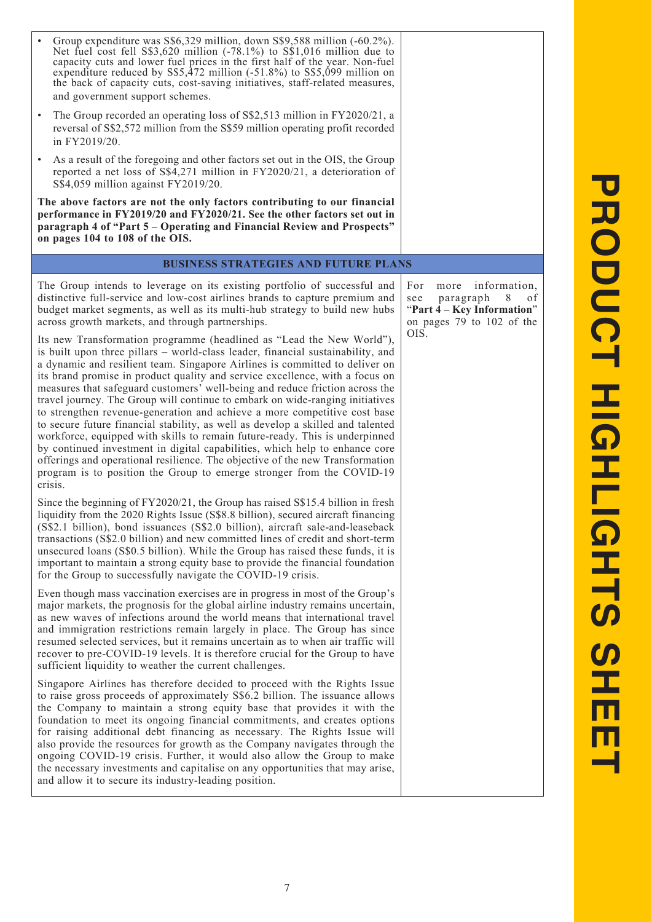| Group expenditure was S\$6,329 million, down S\$9,588 million (-60.2%).<br>Net fuel cost fell $S\$ 3,620 million (-78.1%) to $S\$ 1,016 million due to<br>capacity cuts and lower fuel prices in the first half of the year. Non-fuel<br>expenditure reduced by S\$5,472 million (-51.8%) to S\$5,099 million on<br>the back of capacity cuts, cost-saving initiatives, staff-related measures,<br>and government support schemes.                                                                                                                                                                                                                                                                                                                                                                                                                                                                                                                                                          |                                                                                                                               |
|---------------------------------------------------------------------------------------------------------------------------------------------------------------------------------------------------------------------------------------------------------------------------------------------------------------------------------------------------------------------------------------------------------------------------------------------------------------------------------------------------------------------------------------------------------------------------------------------------------------------------------------------------------------------------------------------------------------------------------------------------------------------------------------------------------------------------------------------------------------------------------------------------------------------------------------------------------------------------------------------|-------------------------------------------------------------------------------------------------------------------------------|
| The Group recorded an operating loss of S\$2,513 million in FY2020/21, a<br>reversal of S\$2,572 million from the S\$59 million operating profit recorded<br>in FY2019/20.                                                                                                                                                                                                                                                                                                                                                                                                                                                                                                                                                                                                                                                                                                                                                                                                                  |                                                                                                                               |
| As a result of the foregoing and other factors set out in the OIS, the Group<br>$\bullet$<br>reported a net loss of S\$4,271 million in FY2020/21, a deterioration of<br>S\$4,059 million against FY2019/20.                                                                                                                                                                                                                                                                                                                                                                                                                                                                                                                                                                                                                                                                                                                                                                                |                                                                                                                               |
| The above factors are not the only factors contributing to our financial<br>performance in FY2019/20 and FY2020/21. See the other factors set out in<br>paragraph 4 of "Part 5 - Operating and Financial Review and Prospects"<br>on pages 104 to 108 of the OIS.                                                                                                                                                                                                                                                                                                                                                                                                                                                                                                                                                                                                                                                                                                                           |                                                                                                                               |
| <b>BUSINESS STRATEGIES AND FUTURE PLANS</b>                                                                                                                                                                                                                                                                                                                                                                                                                                                                                                                                                                                                                                                                                                                                                                                                                                                                                                                                                 |                                                                                                                               |
| The Group intends to leverage on its existing portfolio of successful and<br>distinctive full-service and low-cost airlines brands to capture premium and<br>budget market segments, as well as its multi-hub strategy to build new hubs<br>across growth markets, and through partnerships.                                                                                                                                                                                                                                                                                                                                                                                                                                                                                                                                                                                                                                                                                                | information,<br>For<br>more<br>8<br>paragraph<br>of<br>see<br>"Part 4 – Key Information"<br>on pages 79 to 102 of the<br>OIS. |
| Its new Transformation programme (headlined as "Lead the New World"),<br>is built upon three pillars – world-class leader, financial sustainability, and<br>a dynamic and resilient team. Singapore Airlines is committed to deliver on<br>its brand promise in product quality and service excellence, with a focus on<br>measures that safeguard customers' well-being and reduce friction across the<br>travel journey. The Group will continue to embark on wide-ranging initiatives<br>to strengthen revenue-generation and achieve a more competitive cost base<br>to secure future financial stability, as well as develop a skilled and talented<br>workforce, equipped with skills to remain future-ready. This is underpinned<br>by continued investment in digital capabilities, which help to enhance core<br>offerings and operational resilience. The objective of the new Transformation<br>program is to position the Group to emerge stronger from the COVID-19<br>crisis. |                                                                                                                               |
| Since the beginning of FY2020/21, the Group has raised S\$15.4 billion in fresh<br>liquidity from the 2020 Rights Issue (S\$8.8 billion), secured aircraft financing<br>(S\$2.1 billion), bond issuances (S\$2.0 billion), aircraft sale-and-leaseback<br>transactions (S\$2.0 billion) and new committed lines of credit and short-term<br>unsecured loans (S\$0.5 billion). While the Group has raised these funds, it is<br>important to maintain a strong equity base to provide the financial foundation<br>for the Group to successfully navigate the COVID-19 crisis.                                                                                                                                                                                                                                                                                                                                                                                                                |                                                                                                                               |
| Even though mass vaccination exercises are in progress in most of the Group's<br>major markets, the prognosis for the global airline industry remains uncertain,<br>as new waves of infections around the world means that international travel<br>and immigration restrictions remain largely in place. The Group has since<br>resumed selected services, but it remains uncertain as to when air traffic will<br>recover to pre-COVID-19 levels. It is therefore crucial for the Group to have<br>sufficient liquidity to weather the current challenges.                                                                                                                                                                                                                                                                                                                                                                                                                                 |                                                                                                                               |
| Singapore Airlines has therefore decided to proceed with the Rights Issue<br>to raise gross proceeds of approximately S\$6.2 billion. The issuance allows<br>the Company to maintain a strong equity base that provides it with the<br>foundation to meet its ongoing financial commitments, and creates options<br>for raising additional debt financing as necessary. The Rights Issue will<br>also provide the resources for growth as the Company navigates through the<br>ongoing COVID-19 crisis. Further, it would also allow the Group to make<br>the necessary investments and capitalise on any opportunities that may arise,<br>and allow it to secure its industry-leading position.                                                                                                                                                                                                                                                                                            |                                                                                                                               |

**PRODUCT HIGHLIGHTS SHEET PRODUCT HIGHLIGHTS SHEET**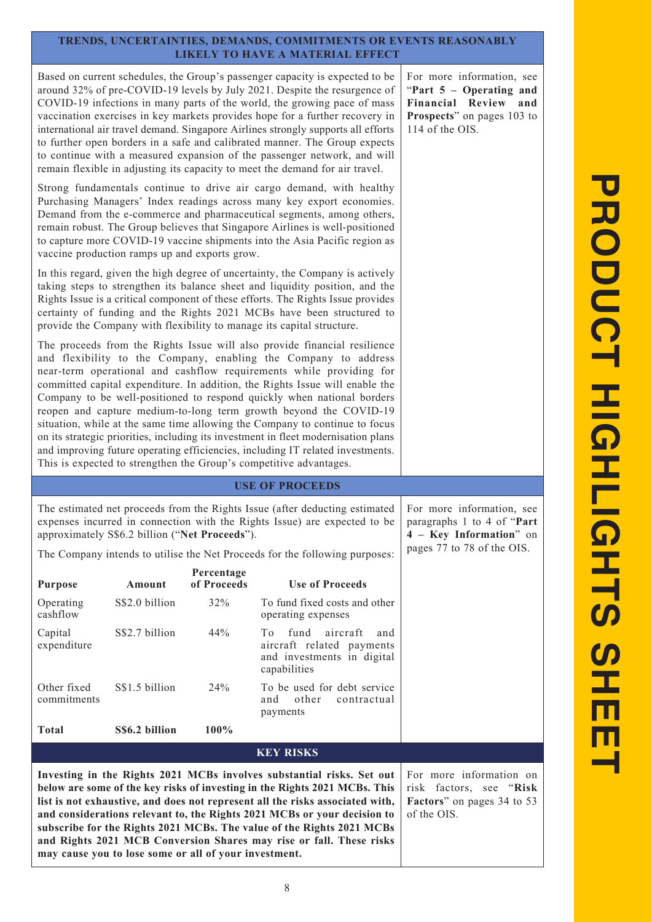# **TRENDS, UNCERTAINTIES, DEMANDS, COMMITMENTS OR EVENTS REASONABLY LIKELY TO HAVE A MATERIAL EFFECT**

Based on current schedules, the Group's passenger capacity is expected to be around 32% of pre-COVID-19 levels by July 2021. Despite the resurgence of COVID-19 infections in many parts of the world, the growing pace of mass vaccination exercises in key markets provides hope for a further recovery in international air travel demand. Singapore Airlines strongly supports all efforts to further open borders in a safe and calibrated manner. The Group expects to continue with a measured expansion of the passenger network, and will remain flexible in adjusting its capacity to meet the demand for air travel.

Strong fundamentals continue to drive air cargo demand, with healthy Purchasing Managers' Index readings across many key export economies. Demand from the e-commerce and pharmaceutical segments, among others, remain robust. The Group believes that Singapore Airlines is well-positioned to capture more COVID-19 vaccine shipments into the Asia Pacific region as vaccine production ramps up and exports grow.

In this regard, given the high degree of uncertainty, the Company is actively taking steps to strengthen its balance sheet and liquidity position, and the Rights Issue is a critical component of these efforts. The Rights Issue provides certainty of funding and the Rights 2021 MCBs have been structured to provide the Company with flexibility to manage its capital structure.

The proceeds from the Rights Issue will also provide financial resilience and flexibility to the Company, enabling the Company to address near-term operational and cashflow requirements while providing for committed capital expenditure. In addition, the Rights Issue will enable the Company to be well-positioned to respond quickly when national borders reopen and capture medium-to-long term growth beyond the COVID-19 situation, while at the same time allowing the Company to continue to focus on its strategic priorities, including its investment in fleet modernisation plans and improving future operating efficiencies, including IT related investments. This is expected to strengthen the Group's competitive advantages.

# **USE OF PROCEEDS**

The estimated net proceeds from the Rights Issue (after deducting estimated expenses incurred in connection with the Rights Issue) are expected to be approximately S\$6.2 billion ("**Net Proceeds**").

The Company intends to utilise the Net Proceeds for the following purposes:

| <b>Purpose</b>                                                        | Amount         | Percentage<br>of Proceeds | <b>Use of Proceeds</b>                                                                                |
|-----------------------------------------------------------------------|----------------|---------------------------|-------------------------------------------------------------------------------------------------------|
| Operating<br>cashflow                                                 | S\$2.0 billion | 32%                       | To fund fixed costs and other<br>operating expenses                                                   |
| Capital<br>expenditure                                                | S\$2.7 billion | 44%                       | fund aircraft<br>To<br>and<br>aircraft related payments<br>and investments in digital<br>capabilities |
| Other fixed<br>commitments                                            | S\$1.5 billion | 24%                       | To be used for debt service<br>other<br>contractual<br>and<br>payments                                |
| <b>Total</b>                                                          | S\$6.2 billion | $100\%$                   |                                                                                                       |
|                                                                       |                |                           | <b>KEY RISKS</b>                                                                                      |
| Investing in the Rights 2021 MCBs involves substantial risks. Set out |                |                           |                                                                                                       |

**below are some of the key risks of investing in the Rights 2021 MCBs. This list is not exhaustive, and does not represent all the risks associated with, and considerations relevant to, the Rights 2021 MCBs or your decision to subscribe for the Rights 2021 MCBs. The value of the Rights 2021 MCBs and Rights 2021 MCB Conversion Shares may rise or fall. These risks may cause you to lose some or all of your investment.**

information on risk factors, see "**Risk Factors**" on pages 34 to 53 of the OIS.

For more information, see paragraphs 1 to 4 of "**Part 4 – Key Information**" on pages 77 to 78 of the OIS.

For more information, see "**Part 5 – Operating and Financial Review and Prospects**" on pages 103 to 114 of the OIS.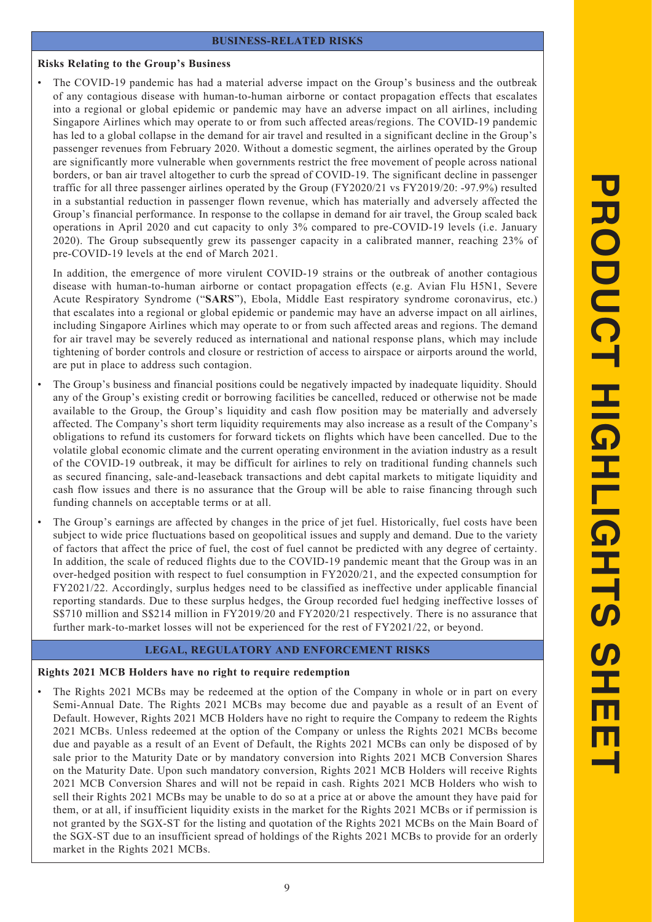#### **BUSINESS-RELATED RISKS**

#### **Risks Relating to the Group's Business**

• The COVID-19 pandemic has had a material adverse impact on the Group's business and the outbreak of any contagious disease with human-to-human airborne or contact propagation effects that escalates into a regional or global epidemic or pandemic may have an adverse impact on all airlines, including Singapore Airlines which may operate to or from such affected areas/regions. The COVID-19 pandemic has led to a global collapse in the demand for air travel and resulted in a significant decline in the Group's passenger revenues from February 2020. Without a domestic segment, the airlines operated by the Group are significantly more vulnerable when governments restrict the free movement of people across national borders, or ban air travel altogether to curb the spread of COVID-19. The significant decline in passenger traffic for all three passenger airlines operated by the Group (FY2020/21 vs FY2019/20: -97.9%) resulted in a substantial reduction in passenger flown revenue, which has materially and adversely affected the Group's financial performance. In response to the collapse in demand for air travel, the Group scaled back operations in April 2020 and cut capacity to only 3% compared to pre-COVID-19 levels (i.e. January 2020). The Group subsequently grew its passenger capacity in a calibrated manner, reaching 23% of pre-COVID-19 levels at the end of March 2021.

In addition, the emergence of more virulent COVID-19 strains or the outbreak of another contagious disease with human-to-human airborne or contact propagation effects (e.g. Avian Flu H5N1, Severe Acute Respiratory Syndrome ("**SARS**"), Ebola, Middle East respiratory syndrome coronavirus, etc.) that escalates into a regional or global epidemic or pandemic may have an adverse impact on all airlines, including Singapore Airlines which may operate to or from such affected areas and regions. The demand for air travel may be severely reduced as international and national response plans, which may include tightening of border controls and closure or restriction of access to airspace or airports around the world, are put in place to address such contagion.

- The Group's business and financial positions could be negatively impacted by inadequate liquidity. Should any of the Group's existing credit or borrowing facilities be cancelled, reduced or otherwise not be made available to the Group, the Group's liquidity and cash flow position may be materially and adversely affected. The Company's short term liquidity requirements may also increase as a result of the Company's obligations to refund its customers for forward tickets on flights which have been cancelled. Due to the volatile global economic climate and the current operating environment in the aviation industry as a result of the COVID-19 outbreak, it may be difficult for airlines to rely on traditional funding channels such as secured financing, sale-and-leaseback transactions and debt capital markets to mitigate liquidity and cash flow issues and there is no assurance that the Group will be able to raise financing through such funding channels on acceptable terms or at all.
- The Group's earnings are affected by changes in the price of jet fuel. Historically, fuel costs have been subject to wide price fluctuations based on geopolitical issues and supply and demand. Due to the variety of factors that affect the price of fuel, the cost of fuel cannot be predicted with any degree of certainty. In addition, the scale of reduced flights due to the COVID-19 pandemic meant that the Group was in an over-hedged position with respect to fuel consumption in FY2020/21, and the expected consumption for FY2021/22. Accordingly, surplus hedges need to be classified as ineffective under applicable financial reporting standards. Due to these surplus hedges, the Group recorded fuel hedging ineffective losses of S\$710 million and S\$214 million in FY2019/20 and FY2020/21 respectively. There is no assurance that further mark-to-market losses will not be experienced for the rest of FY2021/22, or beyond.

#### **LEGAL, REGULATORY AND ENFORCEMENT RISKS**

#### **Rights 2021 MCB Holders have no right to require redemption**

The Rights 2021 MCBs may be redeemed at the option of the Company in whole or in part on every Semi-Annual Date. The Rights 2021 MCBs may become due and payable as a result of an Event of Default. However, Rights 2021 MCB Holders have no right to require the Company to redeem the Rights 2021 MCBs. Unless redeemed at the option of the Company or unless the Rights 2021 MCBs become due and payable as a result of an Event of Default, the Rights 2021 MCBs can only be disposed of by sale prior to the Maturity Date or by mandatory conversion into Rights 2021 MCB Conversion Shares on the Maturity Date. Upon such mandatory conversion, Rights 2021 MCB Holders will receive Rights 2021 MCB Conversion Shares and will not be repaid in cash. Rights 2021 MCB Holders who wish to sell their Rights 2021 MCBs may be unable to do so at a price at or above the amount they have paid for them, or at all, if insufficient liquidity exists in the market for the Rights 2021 MCBs or if permission is not granted by the SGX-ST for the listing and quotation of the Rights 2021 MCBs on the Main Board of the SGX-ST due to an insufficient spread of holdings of the Rights 2021 MCBs to provide for an orderly market in the Rights 2021 MCBs.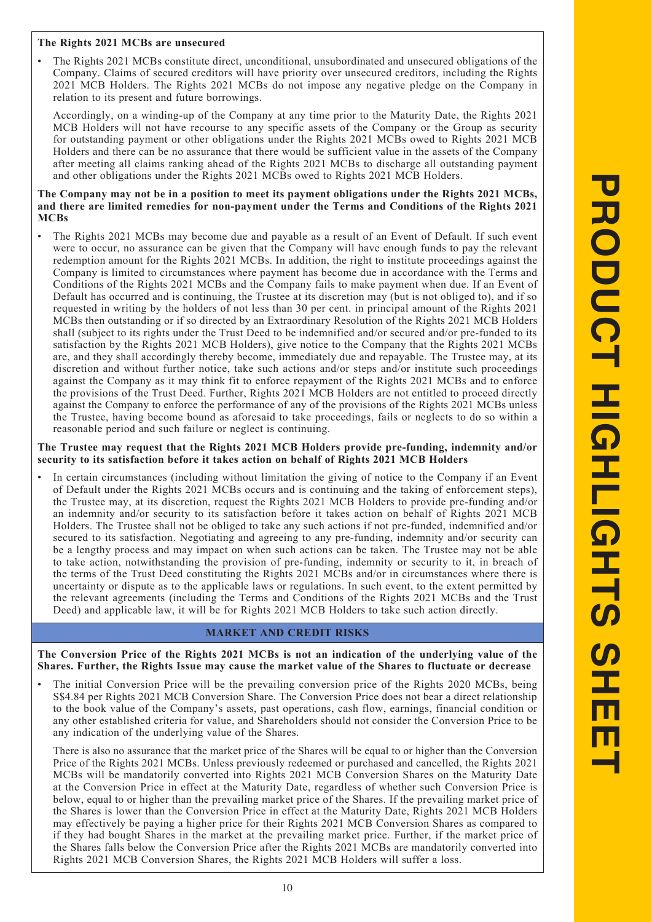#### **The Rights 2021 MCBs are unsecured**

• The Rights 2021 MCBs constitute direct, unconditional, unsubordinated and unsecured obligations of the Company. Claims of secured creditors will have priority over unsecured creditors, including the Rights 2021 MCB Holders. The Rights 2021 MCBs do not impose any negative pledge on the Company in relation to its present and future borrowings.

Accordingly, on a winding-up of the Company at any time prior to the Maturity Date, the Rights 2021 MCB Holders will not have recourse to any specific assets of the Company or the Group as security for outstanding payment or other obligations under the Rights 2021 MCBs owed to Rights 2021 MCB Holders and there can be no assurance that there would be sufficient value in the assets of the Company after meeting all claims ranking ahead of the Rights 2021 MCBs to discharge all outstanding payment and other obligations under the Rights 2021 MCBs owed to Rights 2021 MCB Holders.

#### **The Company may not be in a position to meet its payment obligations under the Rights 2021 MCBs, and there are limited remedies for non-payment under the Terms and Conditions of the Rights 2021 MCBs**

• The Rights 2021 MCBs may become due and payable as a result of an Event of Default. If such event were to occur, no assurance can be given that the Company will have enough funds to pay the relevant redemption amount for the Rights 2021 MCBs. In addition, the right to institute proceedings against the Company is limited to circumstances where payment has become due in accordance with the Terms and Conditions of the Rights 2021 MCBs and the Company fails to make payment when due. If an Event of Default has occurred and is continuing, the Trustee at its discretion may (but is not obliged to), and if so requested in writing by the holders of not less than 30 per cent. in principal amount of the Rights 2021 MCBs then outstanding or if so directed by an Extraordinary Resolution of the Rights 2021 MCB Holders shall (subject to its rights under the Trust Deed to be indemnified and/or secured and/or pre-funded to its satisfaction by the Rights 2021 MCB Holders), give notice to the Company that the Rights 2021 MCBs are, and they shall accordingly thereby become, immediately due and repayable. The Trustee may, at its discretion and without further notice, take such actions and/or steps and/or institute such proceedings against the Company as it may think fit to enforce repayment of the Rights 2021 MCBs and to enforce the provisions of the Trust Deed. Further, Rights 2021 MCB Holders are not entitled to proceed directly against the Company to enforce the performance of any of the provisions of the Rights 2021 MCBs unless the Trustee, having become bound as aforesaid to take proceedings, fails or neglects to do so within a reasonable period and such failure or neglect is continuing.

#### **The Trustee may request that the Rights 2021 MCB Holders provide pre-funding, indemnity and/or security to its satisfaction before it takes action on behalf of Rights 2021 MCB Holders**

• In certain circumstances (including without limitation the giving of notice to the Company if an Event of Default under the Rights 2021 MCBs occurs and is continuing and the taking of enforcement steps), the Trustee may, at its discretion, request the Rights 2021 MCB Holders to provide pre-funding and/or an indemnity and/or security to its satisfaction before it takes action on behalf of Rights 2021 MCB Holders. The Trustee shall not be obliged to take any such actions if not pre-funded, indemnified and/or secured to its satisfaction. Negotiating and agreeing to any pre-funding, indemnity and/or security can be a lengthy process and may impact on when such actions can be taken. The Trustee may not be able to take action, notwithstanding the provision of pre-funding, indemnity or security to it, in breach of the terms of the Trust Deed constituting the Rights 2021 MCBs and/or in circumstances where there is uncertainty or dispute as to the applicable laws or regulations. In such event, to the extent permitted by the relevant agreements (including the Terms and Conditions of the Rights 2021 MCBs and the Trust Deed) and applicable law, it will be for Rights 2021 MCB Holders to take such action directly.

# **MARKET AND CREDIT RISKS**

**The Conversion Price of the Rights 2021 MCBs is not an indication of the underlying value of the Shares. Further, the Rights Issue may cause the market value of the Shares to fluctuate or decrease**

• The initial Conversion Price will be the prevailing conversion price of the Rights 2020 MCBs, being S\$4.84 per Rights 2021 MCB Conversion Share. The Conversion Price does not bear a direct relationship to the book value of the Company's assets, past operations, cash flow, earnings, financial condition or any other established criteria for value, and Shareholders should not consider the Conversion Price to be any indication of the underlying value of the Shares.

There is also no assurance that the market price of the Shares will be equal to or higher than the Conversion Price of the Rights 2021 MCBs. Unless previously redeemed or purchased and cancelled, the Rights 2021 MCBs will be mandatorily converted into Rights 2021 MCB Conversion Shares on the Maturity Date at the Conversion Price in effect at the Maturity Date, regardless of whether such Conversion Price is below, equal to or higher than the prevailing market price of the Shares. If the prevailing market price of the Shares is lower than the Conversion Price in effect at the Maturity Date, Rights 2021 MCB Holders may effectively be paying a higher price for their Rights 2021 MCB Conversion Shares as compared to if they had bought Shares in the market at the prevailing market price. Further, if the market price of the Shares falls below the Conversion Price after the Rights 2021 MCBs are mandatorily converted into Rights 2021 MCB Conversion Shares, the Rights 2021 MCB Holders will suffer a loss.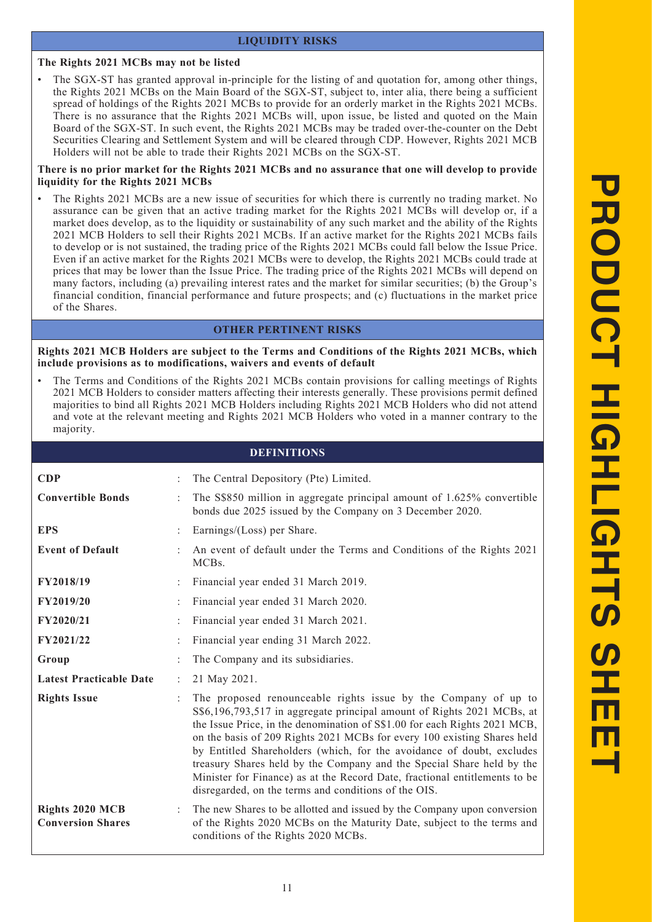# **LIQUIDITY RISKS**

# **The Rights 2021 MCBs may not be listed**

The SGX-ST has granted approval in-principle for the listing of and quotation for, among other things, the Rights 2021 MCBs on the Main Board of the SGX-ST, subject to, inter alia, there being a sufficient spread of holdings of the Rights 2021 MCBs to provide for an orderly market in the Rights 2021 MCBs. There is no assurance that the Rights 2021 MCBs will, upon issue, be listed and quoted on the Main Board of the SGX-ST. In such event, the Rights 2021 MCBs may be traded over-the-counter on the Debt Securities Clearing and Settlement System and will be cleared through CDP. However, Rights 2021 MCB Holders will not be able to trade their Rights 2021 MCBs on the SGX-ST.

#### **There is no prior market for the Rights 2021 MCBs and no assurance that one will develop to provide liquidity for the Rights 2021 MCBs**

The Rights 2021 MCBs are a new issue of securities for which there is currently no trading market. No assurance can be given that an active trading market for the Rights 2021 MCBs will develop or, if a market does develop, as to the liquidity or sustainability of any such market and the ability of the Rights 2021 MCB Holders to sell their Rights 2021 MCBs. If an active market for the Rights 2021 MCBs fails to develop or is not sustained, the trading price of the Rights 2021 MCBs could fall below the Issue Price. Even if an active market for the Rights 2021 MCBs were to develop, the Rights 2021 MCBs could trade at prices that may be lower than the Issue Price. The trading price of the Rights 2021 MCBs will depend on many factors, including (a) prevailing interest rates and the market for similar securities; (b) the Group's financial condition, financial performance and future prospects; and (c) fluctuations in the market price of the Shares.

## **OTHER PERTINENT RISKS**

**Rights 2021 MCB Holders are subject to the Terms and Conditions of the Rights 2021 MCBs, which include provisions as to modifications, waivers and events of default**

• The Terms and Conditions of the Rights 2021 MCBs contain provisions for calling meetings of Rights 2021 MCB Holders to consider matters affecting their interests generally. These provisions permit defined majorities to bind all Rights 2021 MCB Holders including Rights 2021 MCB Holders who did not attend and vote at the relevant meeting and Rights 2021 MCB Holders who voted in a manner contrary to the majority.

|                                                    |   | <b>DEFINITIONS</b>                                                                                                                                                                                                                                                                                                                                                                                                                                                                                                                                                                       |
|----------------------------------------------------|---|------------------------------------------------------------------------------------------------------------------------------------------------------------------------------------------------------------------------------------------------------------------------------------------------------------------------------------------------------------------------------------------------------------------------------------------------------------------------------------------------------------------------------------------------------------------------------------------|
| <b>CDP</b>                                         |   | The Central Depository (Pte) Limited.                                                                                                                                                                                                                                                                                                                                                                                                                                                                                                                                                    |
| <b>Convertible Bonds</b>                           |   | The S\$850 million in aggregate principal amount of 1.625% convertible<br>bonds due 2025 issued by the Company on 3 December 2020.                                                                                                                                                                                                                                                                                                                                                                                                                                                       |
| <b>EPS</b>                                         |   | Earnings/(Loss) per Share.                                                                                                                                                                                                                                                                                                                                                                                                                                                                                                                                                               |
| <b>Event of Default</b>                            |   | An event of default under the Terms and Conditions of the Rights 2021<br>MCB <sub>s</sub> .                                                                                                                                                                                                                                                                                                                                                                                                                                                                                              |
| FY2018/19                                          |   | Financial year ended 31 March 2019.                                                                                                                                                                                                                                                                                                                                                                                                                                                                                                                                                      |
| <b>FY2019/20</b>                                   |   | Financial year ended 31 March 2020.                                                                                                                                                                                                                                                                                                                                                                                                                                                                                                                                                      |
| FY2020/21                                          |   | Financial year ended 31 March 2021.                                                                                                                                                                                                                                                                                                                                                                                                                                                                                                                                                      |
| FY2021/22                                          |   | Financial year ending 31 March 2022.                                                                                                                                                                                                                                                                                                                                                                                                                                                                                                                                                     |
| Group                                              |   | The Company and its subsidiaries.                                                                                                                                                                                                                                                                                                                                                                                                                                                                                                                                                        |
| <b>Latest Practicable Date</b>                     |   | 21 May 2021.                                                                                                                                                                                                                                                                                                                                                                                                                                                                                                                                                                             |
| <b>Rights Issue</b>                                |   | The proposed renounceable rights issue by the Company of up to<br>S\$6,196,793,517 in aggregate principal amount of Rights 2021 MCBs, at<br>the Issue Price, in the denomination of S\$1.00 for each Rights 2021 MCB,<br>on the basis of 209 Rights 2021 MCBs for every 100 existing Shares held<br>by Entitled Shareholders (which, for the avoidance of doubt, excludes<br>treasury Shares held by the Company and the Special Share held by the<br>Minister for Finance) as at the Record Date, fractional entitlements to be<br>disregarded, on the terms and conditions of the OIS. |
| <b>Rights 2020 MCB</b><br><b>Conversion Shares</b> | ÷ | The new Shares to be allotted and issued by the Company upon conversion<br>of the Rights 2020 MCBs on the Maturity Date, subject to the terms and<br>conditions of the Rights 2020 MCBs.                                                                                                                                                                                                                                                                                                                                                                                                 |

# **PRODUCT HIGHLIGHTS SHEET PRODUCT HIGHLIGHTS**